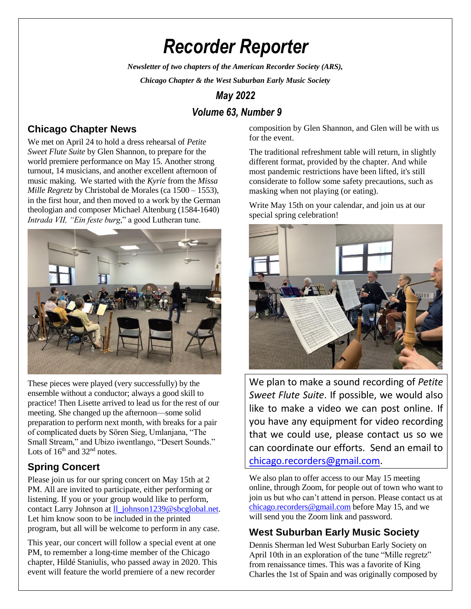# *Recorder Reporter*

*Newsletter of two chapters of the American Recorder Society (ARS),*

*Chicago Chapter & the West Suburban Early Music Society*

# *May 2022*

## *Volume 63, Number 9*

#### **Chicago Chapter News**

We met on April 24 to hold a dress rehearsal of *Petite Sweet Flute Suite* by Glen Shannon, to prepare for the world premiere performance on May 15. Another strong turnout, 14 musicians, and another excellent afternoon of music making. We started with the *Kyrie* from the *Missa Mille Regretz* by Christobal de Morales (ca 1500 – 1553), in the first hour, and then moved to a work by the German theologian and composer Michael Altenburg (1584-1640) *Intrada VII, "Ein feste burg*," a good Lutheran tune.



These pieces were played (very successfully) by the ensemble without a conductor; always a good skill to practice! Then Lisette arrived to lead us for the rest of our meeting. She changed up the afternoon—some solid preparation to perform next month, with breaks for a pair of complicated duets by Sören Sieg, Umlanjana, "The Small Stream," and Ubizo iwentlango, "Desert Sounds." Lots of  $16<sup>th</sup>$  and  $32<sup>nd</sup>$  notes.

# **Spring Concert**

Please join us for our spring concert on May 15th at 2 PM. All are invited to participate, either performing or listening. If you or your group would like to perform, contact Larry Johnson at [ll\\_johnson1239@sbcglobal.net.](mailto:ll_johnson1239@sbcglobal.net) Let him know soon to be included in the printed program, but all will be welcome to perform in any case.

This year, our concert will follow a special event at one PM, to remember a long-time member of the Chicago chapter, Hildé Staniulis, who passed away in 2020. This event will feature the world premiere of a new recorder

composition by Glen Shannon, and Glen will be with us for the event.

The traditional refreshment table will return, in slightly different format, provided by the chapter. And while most pandemic restrictions have been lifted, it's still considerate to follow some safety precautions, such as masking when not playing (or eating).

Write May 15th on your calendar, and join us at our special spring celebration!



We plan to make a sound recording of *Petite Sweet Flute Suite*. If possible, we would also like to make a video we can post online. If you have any equipment for video recording that we could use, please contact us so we can coordinate our efforts. Send an email to [chicago.recorders@gmail.com.](mailto:chicago.recorders@gmail.com)

We also plan to offer access to our May 15 meeting online, through Zoom, for people out of town who want to join us but who can't attend in person. Please contact us at [chicago.recorders@gmail.com](mailto:chicago.recorders@gmail.com) before May 15, and we will send you the Zoom link and password.

#### **West Suburban Early Music Society**

Dennis Sherman led West Suburban Early Society on April 10th in an exploration of the tune "Mille regretz" from renaissance times. This was a favorite of King Charles the 1st of Spain and was originally composed by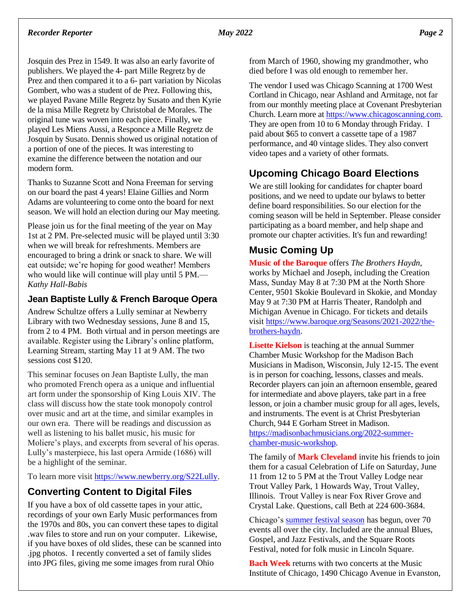#### Josquin des Prez in 1549. It was also an early favorite of publishers. We played the 4- part Mille Regretz by de Prez and then compared it to a 6- part variation by Nicolas Gombert, who was a student of de Prez. Following this, we played Pavane Mille Regretz by Susato and then Kyrie de la misa Mille Regretz by Christobal de Morales. The original tune was woven into each piece. Finally, we played Les Miens Aussi, a Responce a Mille Regretz de Josquin by Susato. Dennis showed us original notation of a portion of one of the pieces. It was interesting to examine the difference between the notation and our modern form.

Thanks to Suzanne Scott and Nona Freeman for serving on our board the past 4 years! Elaine Gillies and Norm Adams are volunteering to come onto the board for next season. We will hold an election during our May meeting.

Please join us for the final meeting of the year on May 1st at 2 PM. Pre-selected music will be played until 3:30 when we will break for refreshments. Members are encouraged to bring a drink or snack to share. We will eat outside; we're hoping for good weather! Members who would like will continue will play until 5 PM.— *Kathy Hall-Babis*

#### **Jean Baptiste Lully & French Baroque Opera**

Andrew Schultze offers a Lully seminar at Newberry Library with two Wednesday sessions, June 8 and 15, from 2 to 4 PM. Both virtual and in person meetings are available. Register using the Library's online platform, Learning Stream, starting May 11 at 9 AM. The two sessions cost \$120.

This seminar focuses on Jean Baptiste Lully, the man who promoted French opera as a unique and influential art form under the sponsorship of King Louis XIV. The class will discuss how the state took monopoly control over music and art at the time, and similar examples in our own era. There will be readings and discussion as well as listening to his ballet music, his music for Moliere's plays, and excerpts from several of his operas. Lully's masterpiece, his last opera Armide (1686) will be a highlight of the seminar.

To learn more visi[t https://www.newberry.org/S22Lully.](https://www.newberry.org/S22Lully)

#### **Converting Content to Digital Files**

If you have a box of old cassette tapes in your attic, recordings of your own Early Music performances from the 1970s and 80s, you can convert these tapes to digital .wav files to store and run on your computer. Likewise, if you have boxes of old slides, these can be scanned into .jpg photos. I recently converted a set of family slides into JPG files, giving me some images from rural Ohio

from March of 1960, showing my grandmother, who died before I was old enough to remember her.

The vendor I used was Chicago Scanning at 1700 West Cortland in Chicago, near Ashland and Armitage, not far from our monthly meeting place at Covenant Presbyterian Church. Learn more at [https://www.chicagoscanning.com.](https://www.chicagoscanning.com/) They are open from 10 to 6 Monday through Friday. I paid about \$65 to convert a cassette tape of a 1987 performance, and 40 vintage slides. They also convert video tapes and a variety of other formats.

## **Upcoming Chicago Board Elections**

We are still looking for candidates for chapter board positions, and we need to update our bylaws to better define board responsibilities. So our election for the coming season will be held in September. Please consider participating as a board member, and help shape and promote our chapter activities. It's fun and rewarding!

## **Music Coming Up**

**Music of the Baroque** offers *The Brothers Haydn*, works by Michael and Joseph, including the Creation Mass, Sunday May 8 at 7:30 PM at the North Shore Center, 9501 Skokie Boulevard in Skokie, and Monday May 9 at 7:30 PM at Harris Theater, Randolph and Michigan Avenue in Chicago. For tickets and details visi[t https://www.baroque.org/Seasons/2021-2022/the](https://www.baroque.org/Seasons/2021-2022/the-brothers-haydn)[brothers-haydn.](https://www.baroque.org/Seasons/2021-2022/the-brothers-haydn)

**Lisette Kielson** is teaching at the annual Summer Chamber Music Workshop for the Madison Bach Musicians in Madison, Wisconsin, July 12-15. The event is in person for coaching, lessons, classes and meals. Recorder players can join an afternoon ensemble, geared for intermediate and above players, take part in a free lesson, or join a chamber music group for all ages, levels, and instruments. The event is at Christ Presbyterian Church, 944 E Gorham Street in Madison. [https://madisonbachmusicians.org/2022-summer](https://madisonbachmusicians.org/2022-summer-chamber-music-workshop)[chamber-music-workshop.](https://madisonbachmusicians.org/2022-summer-chamber-music-workshop)

The family of **Mark Cleveland** invite his friends to join them for a casual Celebration of Life on Saturday, June 11 from 12 to 5 PM at the Trout Valley Lodge near Trout Valley Park, 1 Howards Way, Trout Valley, Illinois. Trout Valley is near Fox River Grove and Crystal Lake. Questions, call Beth at 224 600-3684.

Chicago's [summer festival season](https://blockclubchicago.org/2022/04/14/ultimate-list-of-chicago-events-75-festivals-fairs-parades-and-more-to-celebrate-in-spring-and-summer-2022/) has begun, over 70 events all over the city. Included are the annual Blues, Gospel, and Jazz Festivals, and the Square Roots Festival, noted for folk music in Lincoln Square.

**Bach Week** returns with two concerts at the Music Institute of Chicago, 1490 Chicago Avenue in Evanston,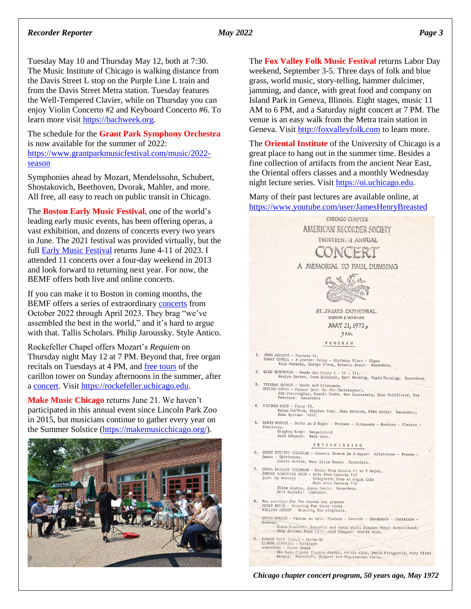#### *Recorder Reporter May 2022 Page 3*

Tuesday May 10 and Thursday May 12, both at 7:30. The Music Institute of Chicago is walking distance from the Davis Street L stop on the Purple Line L train and from the Davis Street Metra station. Tuesday features the Well-Tempered Clavier, while on Thursday you can enjoy Violin Concerto #2 and Keyboard Concerto #6. To learn more visit [https://bachweek.org.](https://bachweek.org/)

The schedule for the **Grant Park Symphony Orchestra** is now available for the summer of 2022: [https://www.grantparkmusicfestival.com/music/2022](https://www.grantparkmusicfestival.com/music/2022-season) [season](https://www.grantparkmusicfestival.com/music/2022-season)

Symphonies ahead by Mozart, Mendelssohn, Schubert, Shostakovich, Beethoven, Dvorak, Mahler, and more. All free, all easy to reach on public transit in Chicago.

The **Boston Early Music Festival**, one of the world's leading early music events, has been offering operas, a vast exhibition, and dozens of concerts every two years in June. The 2021 festival was provided virtually, but the full **Early Music Festival** returns June 4-11 of 2023. I attended 11 concerts over a four-day weekend in 2013 and look forward to returning next year. For now, the BEMF offers both live and online concerts.

If you can make it to Boston in coming months, the BEMF offers a series of extraordinary [concerts](https://bemf.org/concert-season/next-season/) from October 2022 through April 2023. They brag "we've assembled the best in the world," and it's hard to argue with that. Tallis Scholars. Philip Jaroussky. Style Antico.

Rockefeller Chapel offers Mozart's *Requiem* on Thursday night May 12 at 7 PM. Beyond that, free organ recitals on Tuesdays at 4 PM, and [free tours](https://rockefeller.uchicago.edu/the-carillon/carillon-recitals-and-tower-tours) of the carillon tower on Sunday afternoons in the summer, after a [concert.](https://rockefeller.uchicago.edu/the-carillon/the-bells-of-summer) Visit [https://rockefeller.uchicago.edu.](https://rockefeller.uchicago.edu/)

**Make Music Chicago** returns June 21. We haven't participated in this annual event since Lincoln Park Zoo in 2015, but musicians continue to gather every year on the Summer Solstice [\(https://makemusicchicago.org/\)](https://makemusicchicago.org/).



The **Fox Valley Folk Music Festival** returns Labor Day weekend, September 3-5. Three days of folk and blue grass, world music, story-telling, hammer dulcimer, jamming, and dance, with great food and company on Island Park in Geneva, Illinois. Eight stages, music 11 AM to 6 PM, and a Saturday night concert at 7 PM. The venue is an easy walk from the Metra train station in Geneva. Visit http://foxvalleyfolk.com to learn more.

The **Oriental Institute** of the University of Chicago is a great place to hang out in the summer time. Besides a fine collection of artifacts from the ancient Near East, the Oriental offers classes and a monthly Wednesday night lecture series. Visi[t https://oi.uchicago.edu.](https://oi.uchicago.edu/)

Many of their past lectures are available online, at <https://www.youtube.com/user/JamesHenryBreasted>



*Chicago chapter concert program, 50 years ago, May 1972*